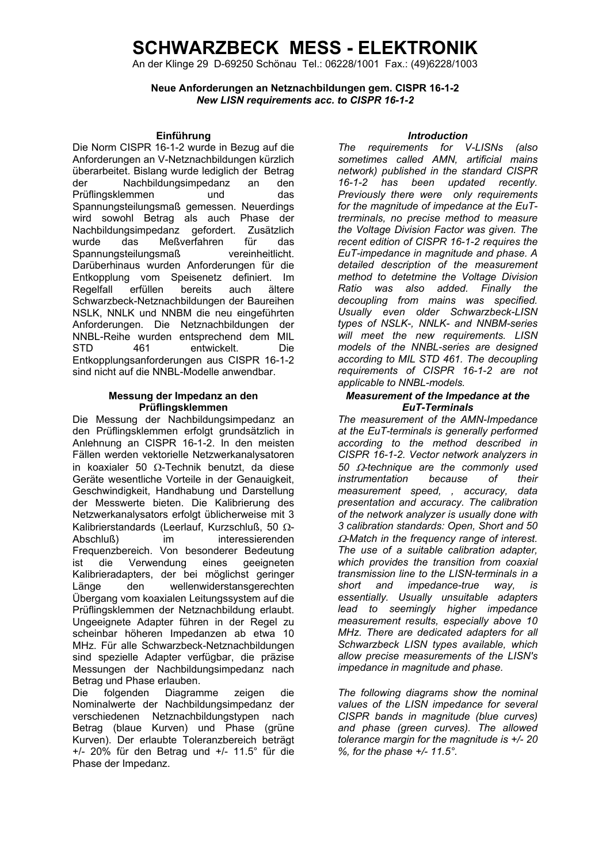An der Klinge 29 D-69250 Schönau Tel.: 06228/1001 Fax.: (49)6228/1003

**Neue Anforderungen an Netznachbildungen gem. CISPR 16-1-2**  *New LISN requirements acc. to CISPR 16-1-2* 

Die Norm CISPR 16-1-2 wurde in Bezug auf die Anforderungen an V-Netznachbildungen kürzlich überarbeitet. Bislang wurde lediglich der Betrag der Nachbildungsimpedanz an den Prüflingsklemmen und das Spannungsteilungsmaß gemessen. Neuerdings wird sowohl Betrag als auch Phase der Nachbildungsimpedanz gefordert. Zusätzlich wurde das Meßverfahren für das Spannungsteilungsmaß vereinheitlicht. Darüberhinaus wurden Anforderungen für die Entkopplung vom Speisenetz definiert. Im Regelfall erfüllen bereits auch ältere Schwarzbeck-Netznachbildungen der Baureihen NSLK, NNLK und NNBM die neu eingeführten Anforderungen. Die Netznachbildungen der NNBL-Reihe wurden entsprechend dem MIL STD 461 entwickelt. Die Entkopplungsanforderungen aus CISPR 16-1-2 sind nicht auf die NNBL-Modelle anwendbar.

#### **Messung der Impedanz an den Prüflingsklemmen**

Die Messung der Nachbildungsimpedanz an den Prüflingsklemmen erfolgt grundsätzlich in Anlehnung an CISPR 16-1-2. In den meisten Fällen werden vektorielle Netzwerkanalysatoren in koaxialer 50 Ω-Technik benutzt, da diese Geräte wesentliche Vorteile in der Genauigkeit, Geschwindigkeit, Handhabung und Darstellung der Messwerte bieten. Die Kalibrierung des Netzwerkanalysators erfolgt üblicherweise mit 3 Kalibrierstandards (Leerlauf, Kurzschluß, 50 Ω-Abschluß) im interessierenden Frequenzbereich. Von besonderer Bedeutung ist die Verwendung eines geeigneten Kalibrieradapters, der bei möglichst geringer Länge den wellenwiderstansgerechten Übergang vom koaxialen Leitungssystem auf die Prüflingsklemmen der Netznachbildung erlaubt. Ungeeignete Adapter führen in der Regel zu scheinbar höheren Impedanzen ab etwa 10 MHz. Für alle Schwarzbeck-Netznachbildungen sind spezielle Adapter verfügbar, die präzise Messungen der Nachbildungsimpedanz nach Betrag und Phase erlauben.

Die folgenden Diagramme zeigen die Nominalwerte der Nachbildungsimpedanz der verschiedenen Netznachbildungstypen nach Betrag (blaue Kurven) und Phase (grüne Kurven). Der erlaubte Toleranzbereich beträgt +/- 20% für den Betrag und +/- 11.5° für die Phase der Impedanz.

#### **Einführung** *Introduction*

*The requirements for V-LISNs (also sometimes called AMN, artificial mains network) published in the standard CISPR 16-1-2 has been updated recently. Previously there were only requirements for the magnitude of impedance at the EuTtrerminals, no precise method to measure the Voltage Division Factor was given. The recent edition of CISPR 16-1-2 requires the EuT-impedance in magnitude and phase. A detailed description of the measurement method to detetmine the Voltage Division Ratio was also added. Finally the decoupling from mains was specified. Usually even older Schwarzbeck-LISN types of NSLK-, NNLK- and NNBM-series will meet the new requirements. LISN models of the NNBL-series are designed according to MIL STD 461. The decoupling requirements of CISPR 16-1-2 are not applicable to NNBL-models.* 

#### *Measurement of the Impedance at the EuT-Terminals*

*The measurement of the AMN-Impedance at the EuT-terminals is generally performed according to the method described in CISPR 16-1-2. Vector network analyzers in 50* Ω*-technique are the commonly used instrumentation because of their measurement speed, , accuracy, data presentation and accuracy. The calibration of the network analyzer is usually done with 3 calibration standards: Open, Short and 50*  <sup>Ω</sup>*-Match in the frequency range of interest. The use of a suitable calibration adapter, which provides the transition from coaxial transmission line to the LISN-terminals in a short and impedance-true way, is essentially. Usually unsuitable adapters lead to seemingly higher impedance measurement results, especially above 10 MHz. There are dedicated adapters for all Schwarzbeck LISN types available, which allow precise measurements of the LISN's impedance in magnitude and phase.* 

*The following diagrams show the nominal values of the LISN impedance for several CISPR bands in magnitude (blue curves) and phase (green curves). The allowed tolerance margin for the magnitude is +/- 20 %, for the phase +/- 11.5°.*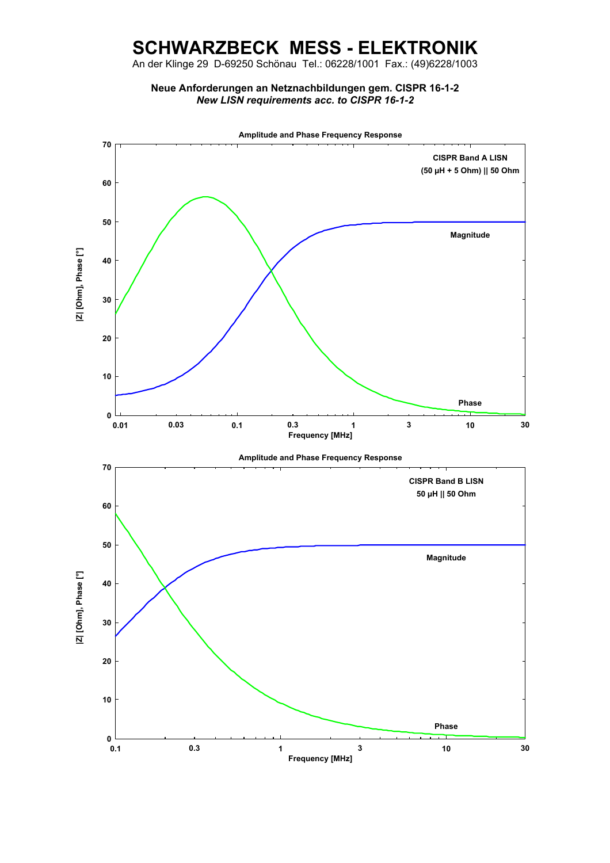An der Klinge 29 D-69250 Schönau Tel.: 06228/1001 Fax.: (49)6228/1003

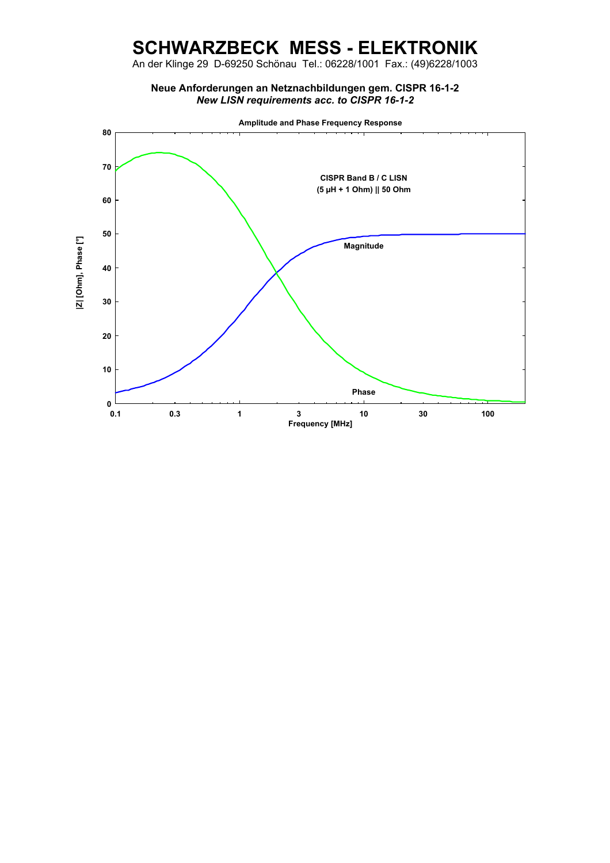An der Klinge 29 D-69250 Schönau Tel.: 06228/1001 Fax.: (49)6228/1003

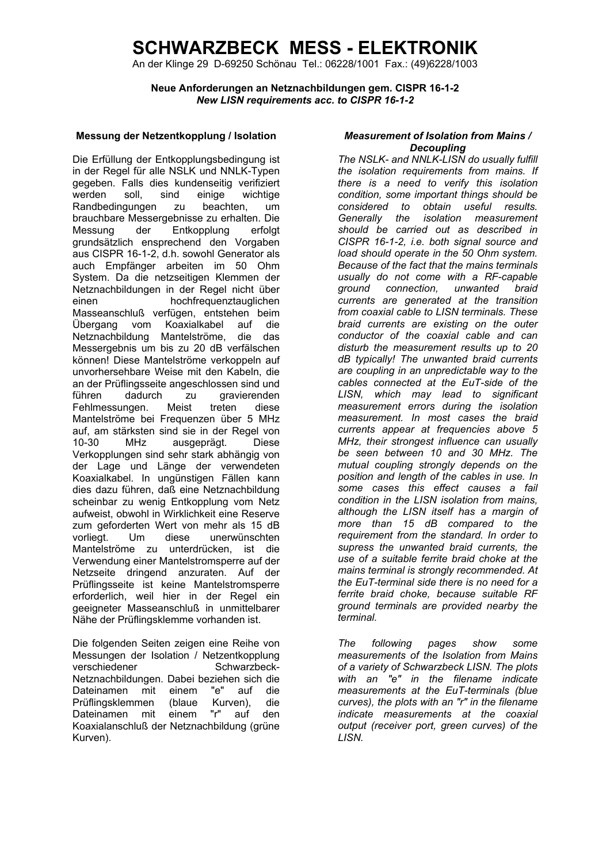An der Klinge 29 D-69250 Schönau Tel.: 06228/1001 Fax.: (49)6228/1003

**Neue Anforderungen an Netznachbildungen gem. CISPR 16-1-2**  *New LISN requirements acc. to CISPR 16-1-2* 

#### **Messung der Netzentkopplung / Isolation** *Measurement of Isolation from Mains /*

Die Erfüllung der Entkopplungsbedingung ist in der Regel für alle NSLK und NNLK-Typen gegeben. Falls dies kundenseitig verifiziert werden soll, sind einige wichtige<br>Randbedingungen zu beachten, um Randbedingungen zu beachten, um brauchbare Messergebnisse zu erhalten. Die Messung der Entkopplung erfolgt grundsätzlich ensprechend den Vorgaben aus CISPR 16-1-2, d.h. sowohl Generator als auch Empfänger arbeiten im 50 Ohm System. Da die netzseitigen Klemmen der Netznachbildungen in der Regel nicht über einen hochfrequenztauglichen Masseanschluß verfügen, entstehen beim Übergang vom Koaxialkabel auf die Netznachbildung Mantelströme, die das Messergebnis um bis zu 20 dB verfälschen können! Diese Mantelströme verkoppeln auf unvorhersehbare Weise mit den Kabeln, die an der Prüflingsseite angeschlossen sind und führen dadurch zu gravierenden Fehlmessungen. Meist treten diese Mantelströme bei Frequenzen über 5 MHz auf, am stärksten sind sie in der Regel von 10-30 MHz ausgeprägt. Diese Verkopplungen sind sehr stark abhängig von der Lage und Länge der verwendeten Koaxialkabel. In ungünstigen Fällen kann dies dazu führen, daß eine Netznachbildung scheinbar zu wenig Entkopplung vom Netz aufweist, obwohl in Wirklichkeit eine Reserve zum geforderten Wert von mehr als 15 dB vorliegt. Um diese unerwünschten Mantelströme zu unterdrücken, ist die Verwendung einer Mantelstromsperre auf der Netzseite dringend anzuraten. Auf der Prüflingsseite ist keine Mantelstromsperre erforderlich, weil hier in der Regel ein geeigneter Masseanschluß in unmittelbarer Nähe der Prüflingsklemme vorhanden ist.

Die folgenden Seiten zeigen eine Reihe von Messungen der Isolation / Netzentkopplung verschiedener Schwarzbeck-Netznachbildungen. Dabei beziehen sich die Dateinamen mit einem "e" auf die Prüflingsklemmen (blaue Kurven), die<br>Dateinamen mit einem "r" auf den Dateinamen mit einem "r" auf den Koaxialanschluß der Netznachbildung (grüne Kurven).

# *Decoupling*

*The NSLK- and NNLK-LISN do usually fulfill the isolation requirements from mains. If there is a need to verify this isolation condition, some important things should be considered to obtain useful results. Generally the isolation measurement should be carried out as described in CISPR 16-1-2, i.e. both signal source and load should operate in the 50 Ohm system. Because of the fact that the mains terminals usually do not come with a RF-capable ground connection, unwanted braid currents are generated at the transition from coaxial cable to LISN terminals. These braid currents are existing on the outer conductor of the coaxial cable and can disturb the measurement results up to 20 dB typically! The unwanted braid currents are coupling in an unpredictable way to the cables connected at the EuT-side of the LISN, which may lead to significant measurement errors during the isolation measurement. In most cases the braid currents appear at frequencies above 5 MHz, their strongest influence can usually be seen between 10 and 30 MHz. The mutual coupling strongly depends on the position and length of the cables in use. In some cases this effect causes a fail condition in the LISN isolation from mains, although the LISN itself has a margin of more than 15 dB compared to the requirement from the standard. In order to supress the unwanted braid currents, the use of a suitable ferrite braid choke at the mains terminal is strongly recommended. At the EuT-terminal side there is no need for a ferrite braid choke, because suitable RF ground terminals are provided nearby the terminal.* 

*The following pages show some measurements of the Isolation from Mains of a variety of Schwarzbeck LISN. The plots with an "e" in the filename indicate measurements at the EuT-terminals (blue curves), the plots with an "r" in the filename indicate measurements at the coaxial output (receiver port, green curves) of the LISN.*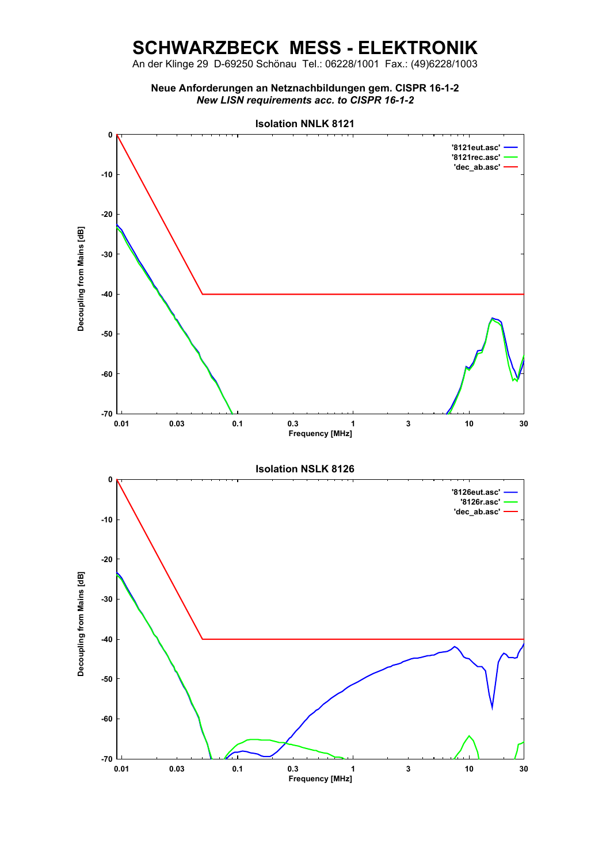An der Klinge 29 D-69250 Schönau Tel.: 06228/1001 Fax.: (49)6228/1003

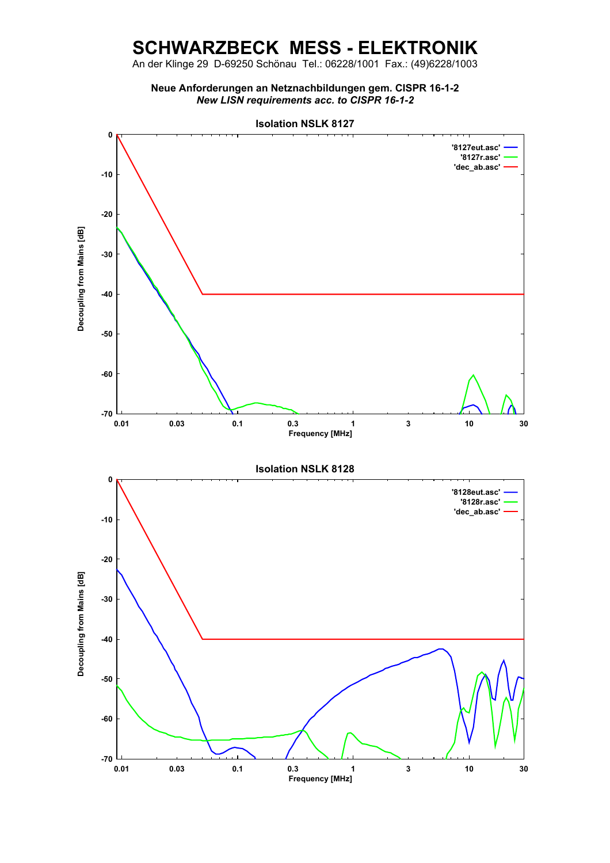An der Klinge 29 D-69250 Schönau Tel.: 06228/1001 Fax.: (49)6228/1003

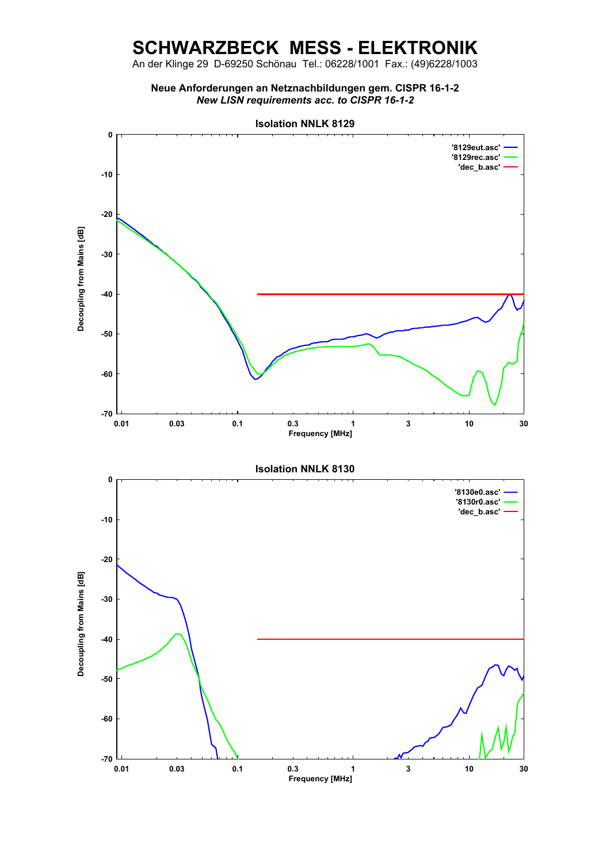An der Klinge 29 D-69250 Schönau Tel.: 06228/1001 Fax.: (49)6228/1003